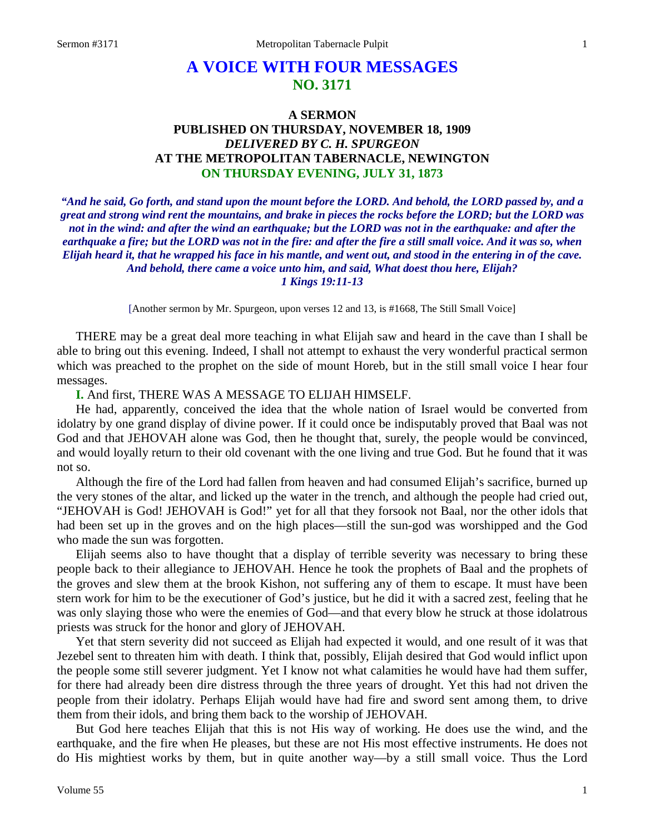# **A VOICE WITH FOUR MESSAGES NO. 3171**

## **A SERMON PUBLISHED ON THURSDAY, NOVEMBER 18, 1909** *DELIVERED BY C. H. SPURGEON* **AT THE METROPOLITAN TABERNACLE, NEWINGTON ON THURSDAY EVENING, JULY 31, 1873**

*"And he said, Go forth, and stand upon the mount before the LORD. And behold, the LORD passed by, and a great and strong wind rent the mountains, and brake in pieces the rocks before the LORD; but the LORD was not in the wind: and after the wind an earthquake; but the LORD was not in the earthquake: and after the*  earthquake a fire; but the LORD was not in the fire: and after the fire a still small voice. And it was so, when *Elijah heard it, that he wrapped his face in his mantle, and went out, and stood in the entering in of the cave. And behold, there came a voice unto him, and said, What doest thou here, Elijah? 1 Kings 19:11-13*

[Another sermon by Mr. Spurgeon, upon verses 12 and 13, is #1668, The Still Small Voice]

THERE may be a great deal more teaching in what Elijah saw and heard in the cave than I shall be able to bring out this evening. Indeed, I shall not attempt to exhaust the very wonderful practical sermon which was preached to the prophet on the side of mount Horeb, but in the still small voice I hear four messages.

**I.** And first, THERE WAS A MESSAGE TO ELIJAH HIMSELF.

He had, apparently, conceived the idea that the whole nation of Israel would be converted from idolatry by one grand display of divine power. If it could once be indisputably proved that Baal was not God and that JEHOVAH alone was God, then he thought that, surely, the people would be convinced, and would loyally return to their old covenant with the one living and true God. But he found that it was not so.

Although the fire of the Lord had fallen from heaven and had consumed Elijah's sacrifice, burned up the very stones of the altar, and licked up the water in the trench, and although the people had cried out, "JEHOVAH is God! JEHOVAH is God!" yet for all that they forsook not Baal, nor the other idols that had been set up in the groves and on the high places—still the sun-god was worshipped and the God who made the sun was forgotten.

Elijah seems also to have thought that a display of terrible severity was necessary to bring these people back to their allegiance to JEHOVAH. Hence he took the prophets of Baal and the prophets of the groves and slew them at the brook Kishon, not suffering any of them to escape. It must have been stern work for him to be the executioner of God's justice, but he did it with a sacred zest, feeling that he was only slaying those who were the enemies of God—and that every blow he struck at those idolatrous priests was struck for the honor and glory of JEHOVAH.

Yet that stern severity did not succeed as Elijah had expected it would, and one result of it was that Jezebel sent to threaten him with death. I think that, possibly, Elijah desired that God would inflict upon the people some still severer judgment. Yet I know not what calamities he would have had them suffer, for there had already been dire distress through the three years of drought. Yet this had not driven the people from their idolatry. Perhaps Elijah would have had fire and sword sent among them, to drive them from their idols, and bring them back to the worship of JEHOVAH.

But God here teaches Elijah that this is not His way of working. He does use the wind, and the earthquake, and the fire when He pleases, but these are not His most effective instruments. He does not do His mightiest works by them, but in quite another way—by a still small voice. Thus the Lord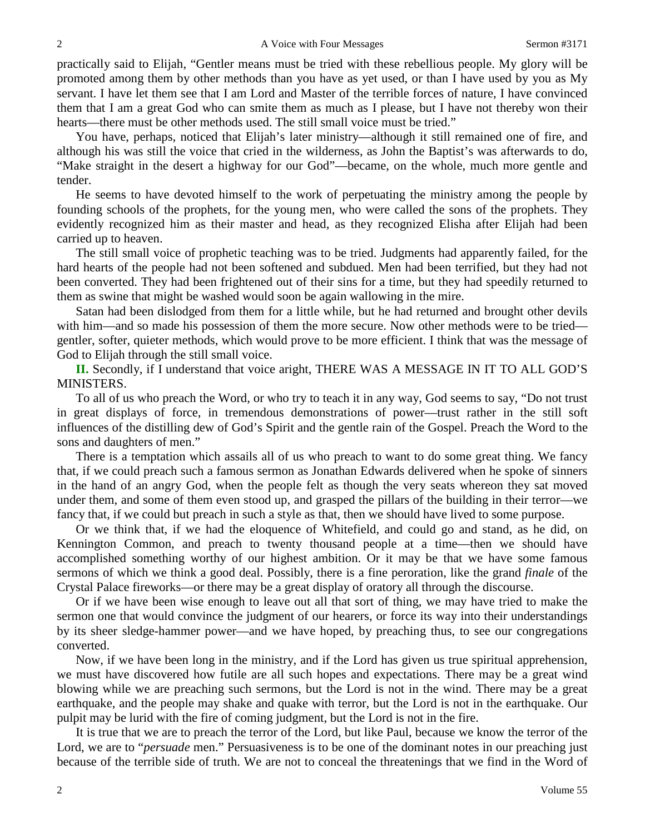practically said to Elijah, "Gentler means must be tried with these rebellious people. My glory will be promoted among them by other methods than you have as yet used, or than I have used by you as My servant. I have let them see that I am Lord and Master of the terrible forces of nature, I have convinced them that I am a great God who can smite them as much as I please, but I have not thereby won their hearts—there must be other methods used. The still small voice must be tried."

You have, perhaps, noticed that Elijah's later ministry—although it still remained one of fire, and although his was still the voice that cried in the wilderness, as John the Baptist's was afterwards to do, "Make straight in the desert a highway for our God"—became, on the whole, much more gentle and tender.

He seems to have devoted himself to the work of perpetuating the ministry among the people by founding schools of the prophets, for the young men, who were called the sons of the prophets. They evidently recognized him as their master and head, as they recognized Elisha after Elijah had been carried up to heaven.

The still small voice of prophetic teaching was to be tried. Judgments had apparently failed, for the hard hearts of the people had not been softened and subdued. Men had been terrified, but they had not been converted. They had been frightened out of their sins for a time, but they had speedily returned to them as swine that might be washed would soon be again wallowing in the mire.

Satan had been dislodged from them for a little while, but he had returned and brought other devils with him—and so made his possession of them the more secure. Now other methods were to be tried gentler, softer, quieter methods, which would prove to be more efficient. I think that was the message of God to Elijah through the still small voice.

**II.** Secondly, if I understand that voice aright, THERE WAS A MESSAGE IN IT TO ALL GOD'S MINISTERS.

To all of us who preach the Word, or who try to teach it in any way, God seems to say, "Do not trust in great displays of force, in tremendous demonstrations of power—trust rather in the still soft influences of the distilling dew of God's Spirit and the gentle rain of the Gospel. Preach the Word to the sons and daughters of men."

There is a temptation which assails all of us who preach to want to do some great thing. We fancy that, if we could preach such a famous sermon as Jonathan Edwards delivered when he spoke of sinners in the hand of an angry God, when the people felt as though the very seats whereon they sat moved under them, and some of them even stood up, and grasped the pillars of the building in their terror—we fancy that, if we could but preach in such a style as that, then we should have lived to some purpose.

Or we think that, if we had the eloquence of Whitefield, and could go and stand, as he did, on Kennington Common, and preach to twenty thousand people at a time—then we should have accomplished something worthy of our highest ambition. Or it may be that we have some famous sermons of which we think a good deal. Possibly, there is a fine peroration, like the grand *finale* of the Crystal Palace fireworks—or there may be a great display of oratory all through the discourse.

Or if we have been wise enough to leave out all that sort of thing, we may have tried to make the sermon one that would convince the judgment of our hearers, or force its way into their understandings by its sheer sledge-hammer power—and we have hoped, by preaching thus, to see our congregations converted.

Now, if we have been long in the ministry, and if the Lord has given us true spiritual apprehension, we must have discovered how futile are all such hopes and expectations. There may be a great wind blowing while we are preaching such sermons, but the Lord is not in the wind. There may be a great earthquake, and the people may shake and quake with terror, but the Lord is not in the earthquake. Our pulpit may be lurid with the fire of coming judgment, but the Lord is not in the fire.

It is true that we are to preach the terror of the Lord, but like Paul, because we know the terror of the Lord, we are to "*persuade* men." Persuasiveness is to be one of the dominant notes in our preaching just because of the terrible side of truth. We are not to conceal the threatenings that we find in the Word of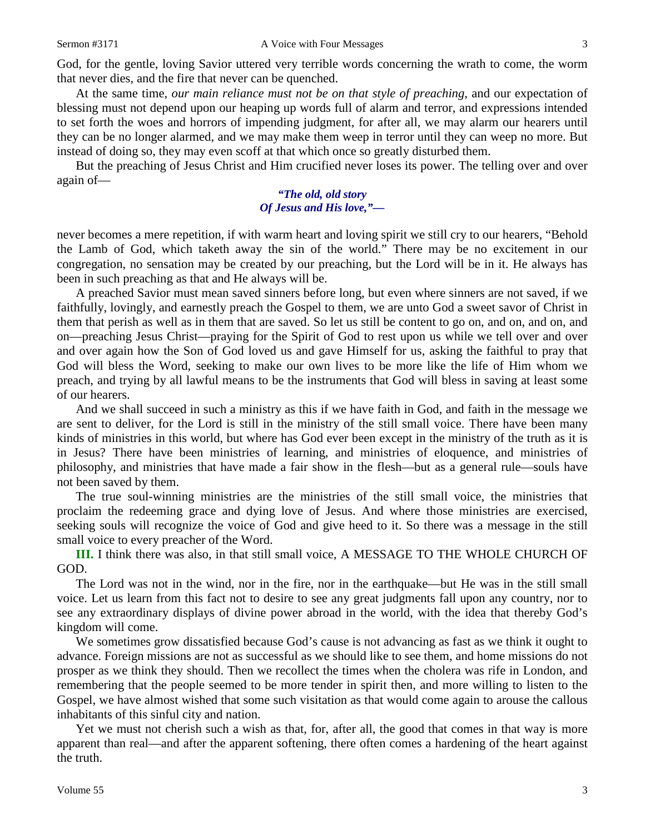God, for the gentle, loving Savior uttered very terrible words concerning the wrath to come, the worm that never dies, and the fire that never can be quenched.

At the same time, *our main reliance must not be on that style of preaching*, and our expectation of blessing must not depend upon our heaping up words full of alarm and terror, and expressions intended to set forth the woes and horrors of impending judgment, for after all, we may alarm our hearers until they can be no longer alarmed, and we may make them weep in terror until they can weep no more. But instead of doing so, they may even scoff at that which once so greatly disturbed them.

But the preaching of Jesus Christ and Him crucified never loses its power. The telling over and over again of—

### *"The old, old story Of Jesus and His love,"—*

never becomes a mere repetition, if with warm heart and loving spirit we still cry to our hearers, "Behold the Lamb of God, which taketh away the sin of the world." There may be no excitement in our congregation, no sensation may be created by our preaching, but the Lord will be in it. He always has been in such preaching as that and He always will be.

A preached Savior must mean saved sinners before long, but even where sinners are not saved, if we faithfully, lovingly, and earnestly preach the Gospel to them, we are unto God a sweet savor of Christ in them that perish as well as in them that are saved. So let us still be content to go on, and on, and on, and on—preaching Jesus Christ—praying for the Spirit of God to rest upon us while we tell over and over and over again how the Son of God loved us and gave Himself for us, asking the faithful to pray that God will bless the Word, seeking to make our own lives to be more like the life of Him whom we preach, and trying by all lawful means to be the instruments that God will bless in saving at least some of our hearers.

And we shall succeed in such a ministry as this if we have faith in God, and faith in the message we are sent to deliver, for the Lord is still in the ministry of the still small voice. There have been many kinds of ministries in this world, but where has God ever been except in the ministry of the truth as it is in Jesus? There have been ministries of learning, and ministries of eloquence, and ministries of philosophy, and ministries that have made a fair show in the flesh—but as a general rule—souls have not been saved by them.

The true soul-winning ministries are the ministries of the still small voice, the ministries that proclaim the redeeming grace and dying love of Jesus. And where those ministries are exercised, seeking souls will recognize the voice of God and give heed to it. So there was a message in the still small voice to every preacher of the Word.

**III.** I think there was also, in that still small voice, A MESSAGE TO THE WHOLE CHURCH OF GOD.

The Lord was not in the wind, nor in the fire, nor in the earthquake—but He was in the still small voice. Let us learn from this fact not to desire to see any great judgments fall upon any country, nor to see any extraordinary displays of divine power abroad in the world, with the idea that thereby God's kingdom will come.

We sometimes grow dissatisfied because God's cause is not advancing as fast as we think it ought to advance. Foreign missions are not as successful as we should like to see them, and home missions do not prosper as we think they should. Then we recollect the times when the cholera was rife in London, and remembering that the people seemed to be more tender in spirit then, and more willing to listen to the Gospel, we have almost wished that some such visitation as that would come again to arouse the callous inhabitants of this sinful city and nation.

Yet we must not cherish such a wish as that, for, after all, the good that comes in that way is more apparent than real—and after the apparent softening, there often comes a hardening of the heart against the truth.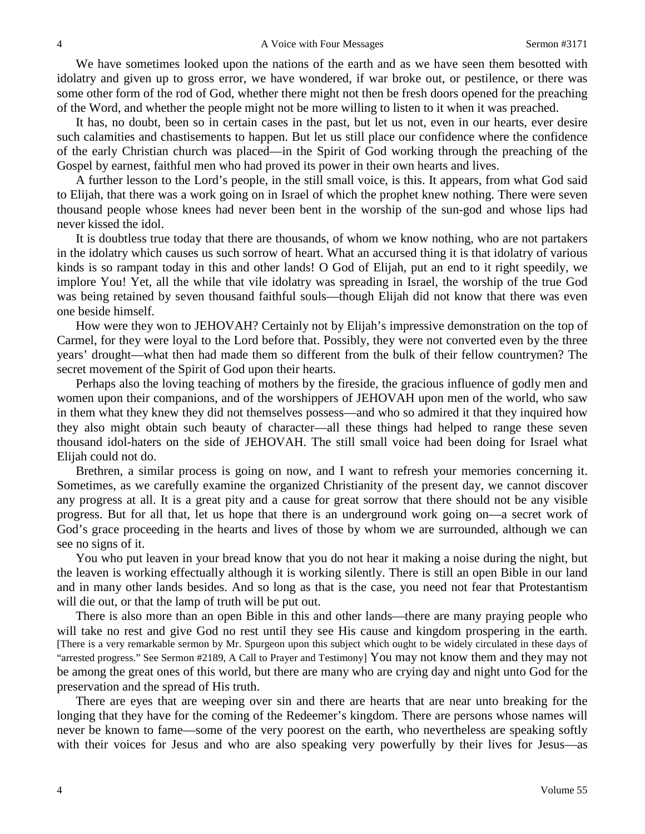We have sometimes looked upon the nations of the earth and as we have seen them besotted with idolatry and given up to gross error, we have wondered, if war broke out, or pestilence, or there was some other form of the rod of God, whether there might not then be fresh doors opened for the preaching of the Word, and whether the people might not be more willing to listen to it when it was preached.

It has, no doubt, been so in certain cases in the past, but let us not, even in our hearts, ever desire such calamities and chastisements to happen. But let us still place our confidence where the confidence of the early Christian church was placed—in the Spirit of God working through the preaching of the Gospel by earnest, faithful men who had proved its power in their own hearts and lives.

A further lesson to the Lord's people, in the still small voice, is this. It appears, from what God said to Elijah, that there was a work going on in Israel of which the prophet knew nothing. There were seven thousand people whose knees had never been bent in the worship of the sun-god and whose lips had never kissed the idol.

It is doubtless true today that there are thousands, of whom we know nothing, who are not partakers in the idolatry which causes us such sorrow of heart. What an accursed thing it is that idolatry of various kinds is so rampant today in this and other lands! O God of Elijah, put an end to it right speedily, we implore You! Yet, all the while that vile idolatry was spreading in Israel, the worship of the true God was being retained by seven thousand faithful souls—though Elijah did not know that there was even one beside himself.

How were they won to JEHOVAH? Certainly not by Elijah's impressive demonstration on the top of Carmel, for they were loyal to the Lord before that. Possibly, they were not converted even by the three years' drought—what then had made them so different from the bulk of their fellow countrymen? The secret movement of the Spirit of God upon their hearts.

Perhaps also the loving teaching of mothers by the fireside, the gracious influence of godly men and women upon their companions, and of the worshippers of JEHOVAH upon men of the world, who saw in them what they knew they did not themselves possess—and who so admired it that they inquired how they also might obtain such beauty of character—all these things had helped to range these seven thousand idol-haters on the side of JEHOVAH. The still small voice had been doing for Israel what Elijah could not do.

Brethren, a similar process is going on now, and I want to refresh your memories concerning it. Sometimes, as we carefully examine the organized Christianity of the present day, we cannot discover any progress at all. It is a great pity and a cause for great sorrow that there should not be any visible progress. But for all that, let us hope that there is an underground work going on—a secret work of God's grace proceeding in the hearts and lives of those by whom we are surrounded, although we can see no signs of it.

You who put leaven in your bread know that you do not hear it making a noise during the night, but the leaven is working effectually although it is working silently. There is still an open Bible in our land and in many other lands besides. And so long as that is the case, you need not fear that Protestantism will die out, or that the lamp of truth will be put out.

There is also more than an open Bible in this and other lands—there are many praying people who will take no rest and give God no rest until they see His cause and kingdom prospering in the earth. [There is a very remarkable sermon by Mr. Spurgeon upon this subject which ought to be widely circulated in these days of "arrested progress." See Sermon #2189, A Call to Prayer and Testimony] You may not know them and they may not be among the great ones of this world, but there are many who are crying day and night unto God for the preservation and the spread of His truth.

There are eyes that are weeping over sin and there are hearts that are near unto breaking for the longing that they have for the coming of the Redeemer's kingdom. There are persons whose names will never be known to fame—some of the very poorest on the earth, who nevertheless are speaking softly with their voices for Jesus and who are also speaking very powerfully by their lives for Jesus—as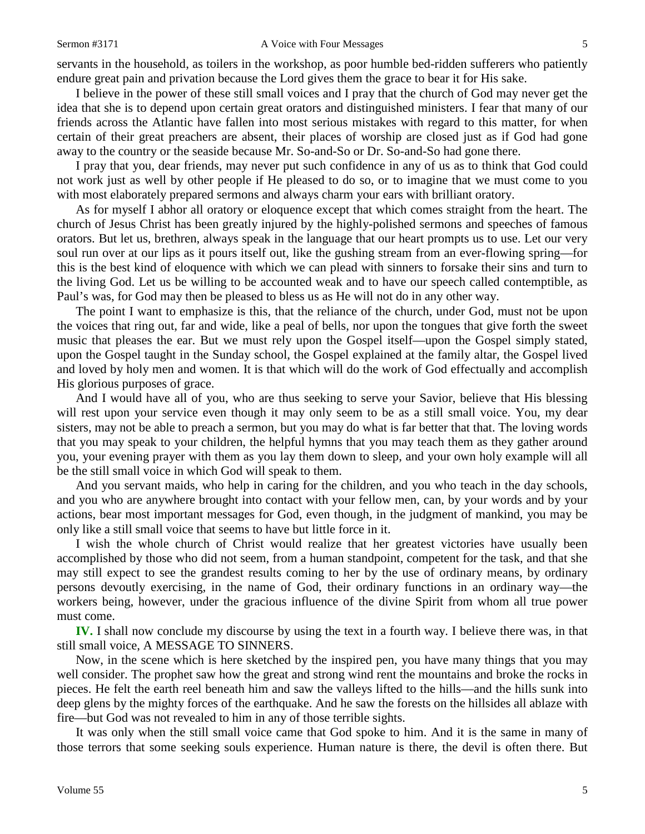servants in the household, as toilers in the workshop, as poor humble bed-ridden sufferers who patiently endure great pain and privation because the Lord gives them the grace to bear it for His sake.

I believe in the power of these still small voices and I pray that the church of God may never get the idea that she is to depend upon certain great orators and distinguished ministers. I fear that many of our friends across the Atlantic have fallen into most serious mistakes with regard to this matter, for when certain of their great preachers are absent, their places of worship are closed just as if God had gone away to the country or the seaside because Mr. So-and-So or Dr. So-and-So had gone there.

I pray that you, dear friends, may never put such confidence in any of us as to think that God could not work just as well by other people if He pleased to do so, or to imagine that we must come to you with most elaborately prepared sermons and always charm your ears with brilliant oratory.

As for myself I abhor all oratory or eloquence except that which comes straight from the heart. The church of Jesus Christ has been greatly injured by the highly-polished sermons and speeches of famous orators. But let us, brethren, always speak in the language that our heart prompts us to use. Let our very soul run over at our lips as it pours itself out, like the gushing stream from an ever-flowing spring—for this is the best kind of eloquence with which we can plead with sinners to forsake their sins and turn to the living God. Let us be willing to be accounted weak and to have our speech called contemptible, as Paul's was, for God may then be pleased to bless us as He will not do in any other way.

The point I want to emphasize is this, that the reliance of the church, under God, must not be upon the voices that ring out, far and wide, like a peal of bells, nor upon the tongues that give forth the sweet music that pleases the ear. But we must rely upon the Gospel itself—upon the Gospel simply stated, upon the Gospel taught in the Sunday school, the Gospel explained at the family altar, the Gospel lived and loved by holy men and women. It is that which will do the work of God effectually and accomplish His glorious purposes of grace.

And I would have all of you, who are thus seeking to serve your Savior, believe that His blessing will rest upon your service even though it may only seem to be as a still small voice. You, my dear sisters, may not be able to preach a sermon, but you may do what is far better that that. The loving words that you may speak to your children, the helpful hymns that you may teach them as they gather around you, your evening prayer with them as you lay them down to sleep, and your own holy example will all be the still small voice in which God will speak to them.

And you servant maids, who help in caring for the children, and you who teach in the day schools, and you who are anywhere brought into contact with your fellow men, can, by your words and by your actions, bear most important messages for God, even though, in the judgment of mankind, you may be only like a still small voice that seems to have but little force in it.

I wish the whole church of Christ would realize that her greatest victories have usually been accomplished by those who did not seem, from a human standpoint, competent for the task, and that she may still expect to see the grandest results coming to her by the use of ordinary means, by ordinary persons devoutly exercising, in the name of God, their ordinary functions in an ordinary way—the workers being, however, under the gracious influence of the divine Spirit from whom all true power must come.

**IV.** I shall now conclude my discourse by using the text in a fourth way. I believe there was, in that still small voice, A MESSAGE TO SINNERS.

Now, in the scene which is here sketched by the inspired pen, you have many things that you may well consider. The prophet saw how the great and strong wind rent the mountains and broke the rocks in pieces. He felt the earth reel beneath him and saw the valleys lifted to the hills—and the hills sunk into deep glens by the mighty forces of the earthquake. And he saw the forests on the hillsides all ablaze with fire—but God was not revealed to him in any of those terrible sights.

It was only when the still small voice came that God spoke to him. And it is the same in many of those terrors that some seeking souls experience. Human nature is there, the devil is often there. But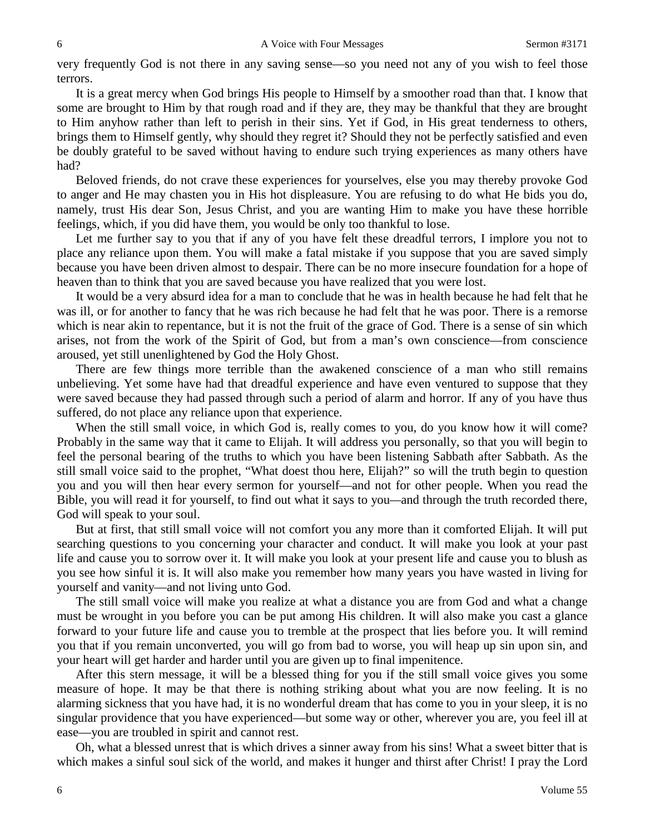very frequently God is not there in any saving sense—so you need not any of you wish to feel those terrors.

It is a great mercy when God brings His people to Himself by a smoother road than that. I know that some are brought to Him by that rough road and if they are, they may be thankful that they are brought to Him anyhow rather than left to perish in their sins. Yet if God, in His great tenderness to others, brings them to Himself gently, why should they regret it? Should they not be perfectly satisfied and even be doubly grateful to be saved without having to endure such trying experiences as many others have had?

Beloved friends, do not crave these experiences for yourselves, else you may thereby provoke God to anger and He may chasten you in His hot displeasure. You are refusing to do what He bids you do, namely, trust His dear Son, Jesus Christ, and you are wanting Him to make you have these horrible feelings, which, if you did have them, you would be only too thankful to lose.

Let me further say to you that if any of you have felt these dreadful terrors, I implore you not to place any reliance upon them. You will make a fatal mistake if you suppose that you are saved simply because you have been driven almost to despair. There can be no more insecure foundation for a hope of heaven than to think that you are saved because you have realized that you were lost.

It would be a very absurd idea for a man to conclude that he was in health because he had felt that he was ill, or for another to fancy that he was rich because he had felt that he was poor. There is a remorse which is near akin to repentance, but it is not the fruit of the grace of God. There is a sense of sin which arises, not from the work of the Spirit of God, but from a man's own conscience—from conscience aroused, yet still unenlightened by God the Holy Ghost.

There are few things more terrible than the awakened conscience of a man who still remains unbelieving. Yet some have had that dreadful experience and have even ventured to suppose that they were saved because they had passed through such a period of alarm and horror. If any of you have thus suffered, do not place any reliance upon that experience.

When the still small voice, in which God is, really comes to you, do you know how it will come? Probably in the same way that it came to Elijah. It will address you personally, so that you will begin to feel the personal bearing of the truths to which you have been listening Sabbath after Sabbath. As the still small voice said to the prophet, "What doest thou here, Elijah?" so will the truth begin to question you and you will then hear every sermon for yourself—and not for other people. When you read the Bible, you will read it for yourself, to find out what it says to you*—*and through the truth recorded there, God will speak to your soul.

But at first, that still small voice will not comfort you any more than it comforted Elijah. It will put searching questions to you concerning your character and conduct. It will make you look at your past life and cause you to sorrow over it. It will make you look at your present life and cause you to blush as you see how sinful it is. It will also make you remember how many years you have wasted in living for yourself and vanity—and not living unto God.

The still small voice will make you realize at what a distance you are from God and what a change must be wrought in you before you can be put among His children. It will also make you cast a glance forward to your future life and cause you to tremble at the prospect that lies before you. It will remind you that if you remain unconverted, you will go from bad to worse, you will heap up sin upon sin, and your heart will get harder and harder until you are given up to final impenitence.

After this stern message, it will be a blessed thing for you if the still small voice gives you some measure of hope. It may be that there is nothing striking about what you are now feeling. It is no alarming sickness that you have had, it is no wonderful dream that has come to you in your sleep, it is no singular providence that you have experienced—but some way or other, wherever you are, you feel ill at ease—you are troubled in spirit and cannot rest.

Oh, what a blessed unrest that is which drives a sinner away from his sins! What a sweet bitter that is which makes a sinful soul sick of the world, and makes it hunger and thirst after Christ! I pray the Lord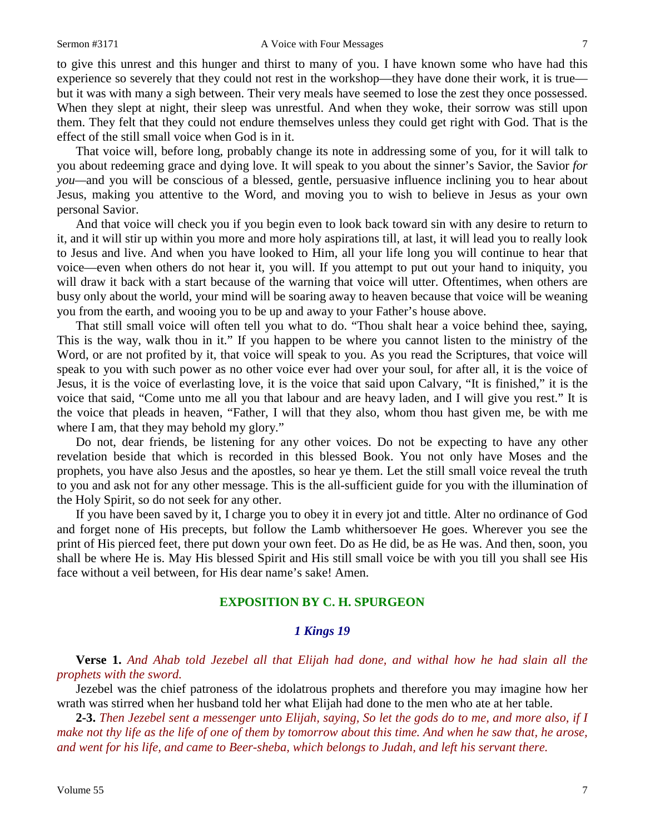to give this unrest and this hunger and thirst to many of you. I have known some who have had this experience so severely that they could not rest in the workshop—they have done their work, it is true but it was with many a sigh between. Their very meals have seemed to lose the zest they once possessed. When they slept at night, their sleep was unrestful. And when they woke, their sorrow was still upon them. They felt that they could not endure themselves unless they could get right with God. That is the effect of the still small voice when God is in it.

That voice will, before long, probably change its note in addressing some of you, for it will talk to you about redeeming grace and dying love. It will speak to you about the sinner's Savior, the Savior *for you—*and you will be conscious of a blessed, gentle, persuasive influence inclining you to hear about Jesus, making you attentive to the Word, and moving you to wish to believe in Jesus as your own personal Savior.

And that voice will check you if you begin even to look back toward sin with any desire to return to it, and it will stir up within you more and more holy aspirations till, at last, it will lead you to really look to Jesus and live. And when you have looked to Him, all your life long you will continue to hear that voice—even when others do not hear it, you will. If you attempt to put out your hand to iniquity, you will draw it back with a start because of the warning that voice will utter. Oftentimes, when others are busy only about the world, your mind will be soaring away to heaven because that voice will be weaning you from the earth, and wooing you to be up and away to your Father's house above.

That still small voice will often tell you what to do. "Thou shalt hear a voice behind thee, saying, This is the way, walk thou in it." If you happen to be where you cannot listen to the ministry of the Word, or are not profited by it, that voice will speak to you. As you read the Scriptures, that voice will speak to you with such power as no other voice ever had over your soul, for after all, it is the voice of Jesus, it is the voice of everlasting love, it is the voice that said upon Calvary, "It is finished," it is the voice that said, "Come unto me all you that labour and are heavy laden, and I will give you rest." It is the voice that pleads in heaven, "Father, I will that they also, whom thou hast given me, be with me where I am, that they may behold my glory."

Do not, dear friends, be listening for any other voices. Do not be expecting to have any other revelation beside that which is recorded in this blessed Book. You not only have Moses and the prophets, you have also Jesus and the apostles, so hear ye them. Let the still small voice reveal the truth to you and ask not for any other message. This is the all-sufficient guide for you with the illumination of the Holy Spirit, so do not seek for any other.

If you have been saved by it, I charge you to obey it in every jot and tittle. Alter no ordinance of God and forget none of His precepts, but follow the Lamb whithersoever He goes. Wherever you see the print of His pierced feet, there put down your own feet. Do as He did, be as He was. And then, soon, you shall be where He is. May His blessed Spirit and His still small voice be with you till you shall see His face without a veil between, for His dear name's sake! Amen.

### **EXPOSITION BY C. H. SPURGEON**

### *1 Kings 19*

**Verse 1.** *And Ahab told Jezebel all that Elijah had done, and withal how he had slain all the prophets with the sword.* 

Jezebel was the chief patroness of the idolatrous prophets and therefore you may imagine how her wrath was stirred when her husband told her what Elijah had done to the men who ate at her table.

**2-3.** *Then Jezebel sent a messenger unto Elijah, saying, So let the gods do to me, and more also, if I make not thy life as the life of one of them by tomorrow about this time. And when he saw that, he arose, and went for his life, and came to Beer-sheba, which belongs to Judah, and left his servant there.*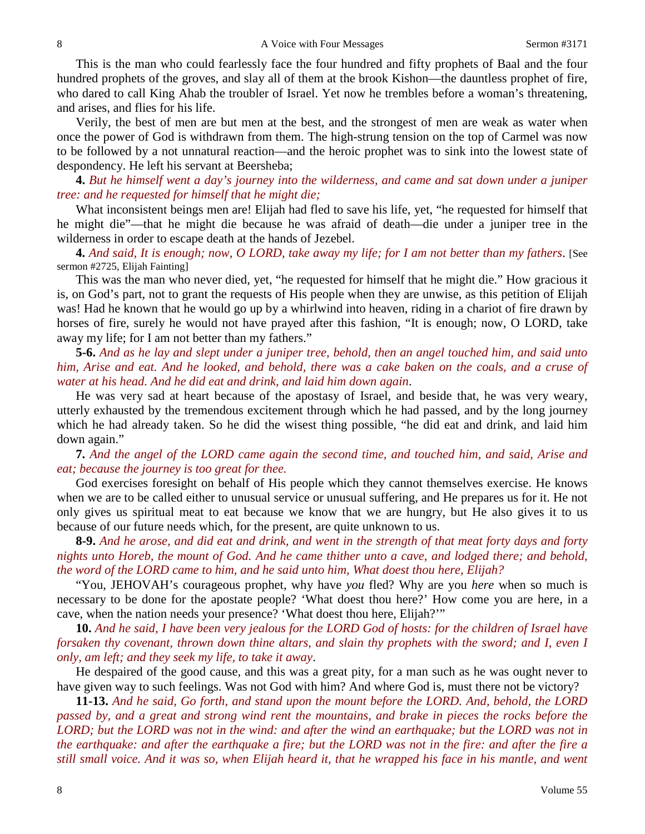This is the man who could fearlessly face the four hundred and fifty prophets of Baal and the four hundred prophets of the groves, and slay all of them at the brook Kishon—the dauntless prophet of fire, who dared to call King Ahab the troubler of Israel. Yet now he trembles before a woman's threatening, and arises, and flies for his life.

Verily, the best of men are but men at the best, and the strongest of men are weak as water when once the power of God is withdrawn from them. The high-strung tension on the top of Carmel was now to be followed by a not unnatural reaction—and the heroic prophet was to sink into the lowest state of despondency. He left his servant at Beersheba;

**4.** *But he himself went a day's journey into the wilderness, and came and sat down under a juniper tree: and he requested for himself that he might die;*

What inconsistent beings men are! Elijah had fled to save his life, yet, "he requested for himself that he might die"—that he might die because he was afraid of death—die under a juniper tree in the wilderness in order to escape death at the hands of Jezebel.

**4.** *And said, It is enough; now, O LORD, take away my life; for I am not better than my fathers*. [See sermon #2725, Elijah Fainting]

This was the man who never died, yet, "he requested for himself that he might die." How gracious it is, on God's part, not to grant the requests of His people when they are unwise, as this petition of Elijah was! Had he known that he would go up by a whirlwind into heaven, riding in a chariot of fire drawn by horses of fire, surely he would not have prayed after this fashion, "It is enough; now, O LORD, take away my life; for I am not better than my fathers."

**5-6.** *And as he lay and slept under a juniper tree, behold, then an angel touched him, and said unto him, Arise and eat. And he looked, and behold, there was a cake baken on the coals, and a cruse of water at his head. And he did eat and drink, and laid him down again*.

He was very sad at heart because of the apostasy of Israel, and beside that, he was very weary, utterly exhausted by the tremendous excitement through which he had passed, and by the long journey which he had already taken. So he did the wisest thing possible, "he did eat and drink, and laid him down again."

**7.** *And the angel of the LORD came again the second time, and touched him, and said, Arise and eat; because the journey is too great for thee.*

God exercises foresight on behalf of His people which they cannot themselves exercise. He knows when we are to be called either to unusual service or unusual suffering, and He prepares us for it. He not only gives us spiritual meat to eat because we know that we are hungry, but He also gives it to us because of our future needs which, for the present, are quite unknown to us.

**8-9.** *And he arose, and did eat and drink, and went in the strength of that meat forty days and forty nights unto Horeb, the mount of God. And he came thither unto a cave, and lodged there; and behold, the word of the LORD came to him, and he said unto him, What doest thou here, Elijah?*

"You, JEHOVAH's courageous prophet, why have *you* fled? Why are you *here* when so much is necessary to be done for the apostate people? 'What doest thou here?' How come you are here, in a cave, when the nation needs your presence? 'What doest thou here, Elijah?'"

**10.** *And he said, I have been very jealous for the LORD God of hosts: for the children of Israel have forsaken thy covenant, thrown down thine altars, and slain thy prophets with the sword; and I, even I only, am left; and they seek my life, to take it away*.

He despaired of the good cause, and this was a great pity, for a man such as he was ought never to have given way to such feelings. Was not God with him? And where God is, must there not be victory?

**11-13.** *And he said, Go forth, and stand upon the mount before the LORD. And, behold, the LORD passed by, and a great and strong wind rent the mountains, and brake in pieces the rocks before the LORD; but the LORD was not in the wind: and after the wind an earthquake; but the LORD was not in the earthquake: and after the earthquake a fire; but the LORD was not in the fire: and after the fire a still small voice. And it was so, when Elijah heard it, that he wrapped his face in his mantle, and went*